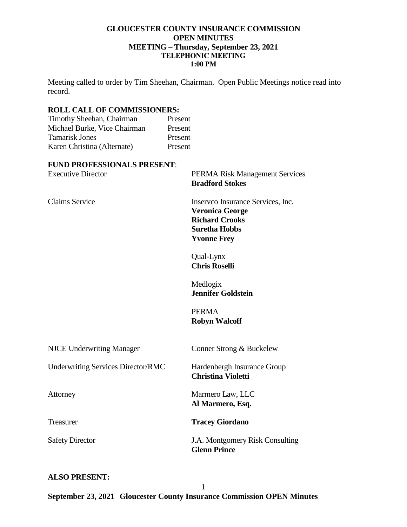### **GLOUCESTER COUNTY INSURANCE COMMISSION OPEN MINUTES MEETING – Thursday, September 23, 2021 TELEPHONIC MEETING 1:00 PM**

Meeting called to order by Tim Sheehan, Chairman. Open Public Meetings notice read into record.

# **ROLL CALL OF COMMISSIONERS:**

| Timothy Sheehan, Chairman    | Present |
|------------------------------|---------|
| Michael Burke, Vice Chairman | Present |
| <b>Tamarisk Jones</b>        | Present |
| Karen Christina (Alternate)  | Present |
|                              |         |

### **FUND PROFESSIONALS PRESENT**:

| <b>Executive Director</b>                 | <b>PERMA Risk Management Services</b><br><b>Bradford Stokes</b>                                                                    |
|-------------------------------------------|------------------------------------------------------------------------------------------------------------------------------------|
| <b>Claims Service</b>                     | Inserveo Insurance Services, Inc.<br><b>Veronica George</b><br><b>Richard Crooks</b><br><b>Suretha Hobbs</b><br><b>Yvonne Frey</b> |
|                                           | Qual-Lynx<br><b>Chris Roselli</b>                                                                                                  |
|                                           | Medlogix<br><b>Jennifer Goldstein</b>                                                                                              |
|                                           | <b>PERMA</b><br><b>Robyn Walcoff</b>                                                                                               |
| <b>NJCE Underwriting Manager</b>          | Conner Strong & Buckelew                                                                                                           |
| <b>Underwriting Services Director/RMC</b> | Hardenbergh Insurance Group<br><b>Christina Violetti</b>                                                                           |
| Attorney                                  | Marmero Law, LLC<br>Al Marmero, Esq.                                                                                               |
| Treasurer                                 | <b>Tracey Giordano</b>                                                                                                             |
| <b>Safety Director</b>                    | J.A. Montgomery Risk Consulting<br><b>Glenn Prince</b>                                                                             |

### **ALSO PRESENT:**

**September 23, 2021 Gloucester County Insurance Commission OPEN Minutes**

1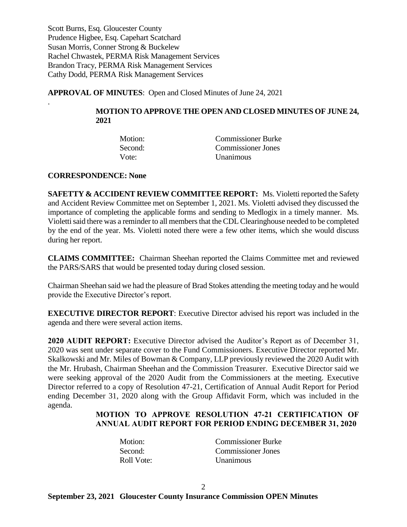Scott Burns, Esq. Gloucester County Prudence Higbee, Esq. Capehart Scatchard Susan Morris, Conner Strong & Buckelew Rachel Chwastek, PERMA Risk Management Services Brandon Tracy, PERMA Risk Management Services Cathy Dodd, PERMA Risk Management Services

**APPROVAL OF MINUTES**: Open and Closed Minutes of June 24, 2021

# **MOTION TO APPROVE THE OPEN AND CLOSED MINUTES OF JUNE 24, 2021**

| Motion: | <b>Commissioner Burke</b> |
|---------|---------------------------|
| Second: | <b>Commissioner Jones</b> |
| Vote:   | <b>Unanimous</b>          |

**CORRESPONDENCE: None**

.

**SAFETTY & ACCIDENT REVIEW COMMITTEE REPORT:** Ms. Violetti reported the Safety and Accident Review Committee met on September 1, 2021. Ms. Violetti advised they discussed the importance of completing the applicable forms and sending to Medlogix in a timely manner. Ms. Violetti said there was a reminder to all members that the CDL Clearinghouse needed to be completed by the end of the year. Ms. Violetti noted there were a few other items, which she would discuss during her report.

**CLAIMS COMMITTEE:** Chairman Sheehan reported the Claims Committee met and reviewed the PARS/SARS that would be presented today during closed session.

Chairman Sheehan said we had the pleasure of Brad Stokes attending the meeting today and he would provide the Executive Director's report.

**EXECUTIVE DIRECTOR REPORT**: Executive Director advised his report was included in the agenda and there were several action items.

**2020 AUDIT REPORT:** Executive Director advised the Auditor's Report as of December 31, 2020 was sent under separate cover to the Fund Commissioners. Executive Director reported Mr. Skalkowski and Mr. Miles of Bowman & Company, LLP previously reviewed the 2020 Audit with the Mr. Hrubash, Chairman Sheehan and the Commission Treasurer. Executive Director said we were seeking approval of the 2020 Audit from the Commissioners at the meeting. Executive Director referred to a copy of Resolution 47-21, Certification of Annual Audit Report for Period ending December 31, 2020 along with the Group Affidavit Form, which was included in the agenda.

# **MOTION TO APPROVE RESOLUTION 47-21 CERTIFICATION OF ANNUAL AUDIT REPORT FOR PERIOD ENDING DECEMBER 31, 2020**

| Motion:    | <b>Commissioner Burke</b> |
|------------|---------------------------|
| Second:    | Commissioner Jones        |
| Roll Vote: | <b>Unanimous</b>          |

2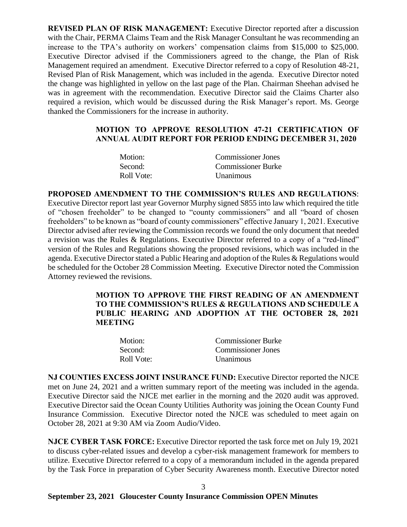**REVISED PLAN OF RISK MANAGEMENT:** Executive Director reported after a discussion with the Chair, PERMA Claims Team and the Risk Manager Consultant he was recommending an increase to the TPA's authority on workers' compensation claims from \$15,000 to \$25,000. Executive Director advised if the Commissioners agreed to the change, the Plan of Risk Management required an amendment. Executive Director referred to a copy of Resolution 48-21, Revised Plan of Risk Management, which was included in the agenda. Executive Director noted the change was highlighted in yellow on the last page of the Plan. Chairman Sheehan advised he was in agreement with the recommendation. Executive Director said the Claims Charter also required a revision, which would be discussed during the Risk Manager's report. Ms. George thanked the Commissioners for the increase in authority.

# **MOTION TO APPROVE RESOLUTION 47-21 CERTIFICATION OF ANNUAL AUDIT REPORT FOR PERIOD ENDING DECEMBER 31, 2020**

| Motion:    | Commissioner Jones        |
|------------|---------------------------|
| Second:    | <b>Commissioner Burke</b> |
| Roll Vote: | <b>Unanimous</b>          |

**PROPOSED AMENDMENT TO THE COMMISSION'S RULES AND REGULATIONS**: Executive Director report last year Governor Murphy signed S855 into law which required the title of "chosen freeholder" to be changed to "county commissioners" and all "board of chosen freeholders" to be known as "board of county commissioners" effective January 1, 2021. Executive Director advised after reviewing the Commission records we found the only document that needed a revision was the Rules & Regulations. Executive Director referred to a copy of a "red-lined" version of the Rules and Regulations showing the proposed revisions, which was included in the agenda. Executive Director stated a Public Hearing and adoption of the Rules & Regulations would be scheduled for the October 28 Commission Meeting. Executive Director noted the Commission Attorney reviewed the revisions.

> **MOTION TO APPROVE THE FIRST READING OF AN AMENDMENT TO THE COMMISSION'S RULES & REGULATIONS AND SCHEDULE A PUBLIC HEARING AND ADOPTION AT THE OCTOBER 28, 2021 MEETING**

| Motion:    | <b>Commissioner Burke</b> |
|------------|---------------------------|
| Second:    | <b>Commissioner Jones</b> |
| Roll Vote: | <b>Unanimous</b>          |

**NJ COUNTIES EXCESS JOINT INSURANCE FUND:** Executive Director reported the NJCE met on June 24, 2021 and a written summary report of the meeting was included in the agenda. Executive Director said the NJCE met earlier in the morning and the 2020 audit was approved. Executive Director said the Ocean County Utilities Authority was joining the Ocean County Fund Insurance Commission. Executive Director noted the NJCE was scheduled to meet again on October 28, 2021 at 9:30 AM via Zoom Audio/Video.

**NJCE CYBER TASK FORCE:** Executive Director reported the task force met on July 19, 2021 to discuss cyber-related issues and develop a cyber-risk management framework for members to utilize. Executive Director referred to a copy of a memorandum included in the agenda prepared by the Task Force in preparation of Cyber Security Awareness month. Executive Director noted

3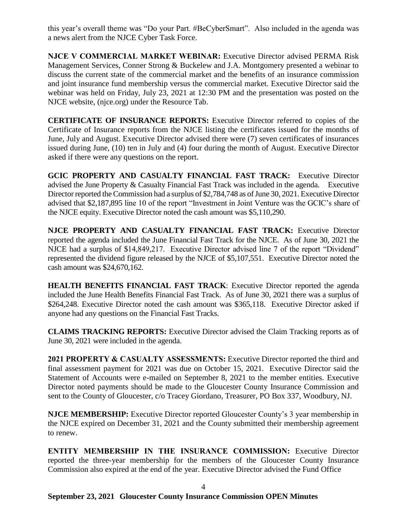this year's overall theme was "Do your Part. #BeCyberSmart". Also included in the agenda was a news alert from the NJCE Cyber Task Force.

**NJCE V COMMERCIAL MARKET WEBINAR:** Executive Director advised PERMA Risk Management Services, Conner Strong & Buckelew and J.A. Montgomery presented a webinar to discuss the current state of the commercial market and the benefits of an insurance commission and joint insurance fund membership versus the commercial market. Executive Director said the webinar was held on Friday, July 23, 2021 at 12:30 PM and the presentation was posted on the NJCE website, (njce.org) under the Resource Tab.

**CERTIFICATE OF INSURANCE REPORTS:** Executive Director referred to copies of the Certificate of Insurance reports from the NJCE listing the certificates issued for the months of June, July and August. Executive Director advised there were (7) seven certificates of insurances issued during June, (10) ten in July and (4) four during the month of August. Executive Director asked if there were any questions on the report.

GCIC PROPERTY AND CASUALTY FINANCIAL FAST TRACK: Executive Director advised the June Property & Casualty Financial Fast Track was included in the agenda. Executive Director reported the Commission had a surplus of \$2,784,748 as of June 30, 2021. Executive Director advised that \$2,187,895 line 10 of the report "Investment in Joint Venture was the GCIC's share of the NJCE equity. Executive Director noted the cash amount was \$5,110,290.

**NJCE PROPERTY AND CASUALTY FINANCIAL FAST TRACK:** Executive Director reported the agenda included the June Financial Fast Track for the NJCE. As of June 30, 2021 the NJCE had a surplus of \$14,849,217. Executive Director advised line 7 of the report "Dividend" represented the dividend figure released by the NJCE of \$5,107,551. Executive Director noted the cash amount was \$24,670,162.

**HEALTH BENEFITS FINANCIAL FAST TRACK**: Executive Director reported the agenda included the June Health Benefits Financial Fast Track. As of June 30, 2021 there was a surplus of \$264,248. Executive Director noted the cash amount was \$365,118. Executive Director asked if anyone had any questions on the Financial Fast Tracks.

**CLAIMS TRACKING REPORTS:** Executive Director advised the Claim Tracking reports as of June 30, 2021 were included in the agenda.

**2021 PROPERTY & CASUALTY ASSESSMENTS:** Executive Director reported the third and final assessment payment for 2021 was due on October 15, 2021. Executive Director said the Statement of Accounts were e-mailed on September 8, 2021 to the member entities. Executive Director noted payments should be made to the Gloucester County Insurance Commission and sent to the County of Gloucester, c/o Tracey Giordano, Treasurer, PO Box 337, Woodbury, NJ.

**NJCE MEMBERSHIP:** Executive Director reported Gloucester County's 3 year membership in the NJCE expired on December 31, 2021 and the County submitted their membership agreement to renew.

**ENTITY MEMBERSHIP IN THE INSURANCE COMMISSION:** Executive Director reported the three-year membership for the members of the Gloucester County Insurance Commission also expired at the end of the year. Executive Director advised the Fund Office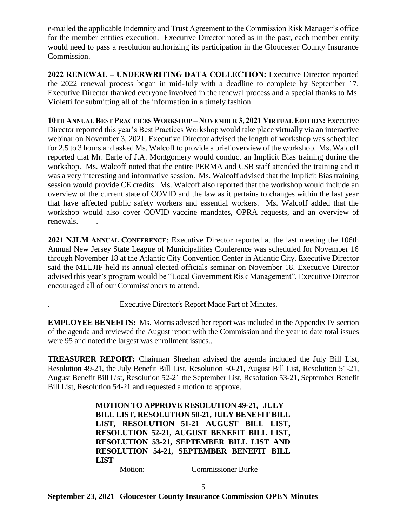e-mailed the applicable Indemnity and Trust Agreement to the Commission Risk Manager's office for the member entities execution. Executive Director noted as in the past, each member entity would need to pass a resolution authorizing its participation in the Gloucester County Insurance Commission.

**2022 RENEWAL – UNDERWRITING DATA COLLECTION:** Executive Director reported the 2022 renewal process began in mid-July with a deadline to complete by September 17. Executive Director thanked everyone involved in the renewal process and a special thanks to Ms. Violetti for submitting all of the information in a timely fashion.

**10TH ANNUAL BEST PRACTICES WORKSHOP – NOVEMBER 3, 2021 VIRTUAL EDITION:** Executive Director reported this year's Best Practices Workshop would take place virtually via an interactive webinar on November 3, 2021. Executive Director advised the length of workshop was scheduled for 2.5 to 3 hours and asked Ms. Walcoff to provide a brief overview of the workshop. Ms. Walcoff reported that Mr. Earle of J.A. Montgomery would conduct an Implicit Bias training during the workshop. Ms. Walcoff noted that the entire PERMA and CSB staff attended the training and it was a very interesting and informative session. Ms. Walcoff advised that the Implicit Bias training session would provide CE credits. Ms. Walcoff also reported that the workshop would include an overview of the current state of COVID and the law as it pertains to changes within the last year that have affected public safety workers and essential workers. Ms. Walcoff added that the workshop would also cover COVID vaccine mandates, OPRA requests, and an overview of renewals. .

**2021 NJLM ANNUAL CONFERENCE**: Executive Director reported at the last meeting the 106th Annual New Jersey State League of Municipalities Conference was scheduled for November 16 through November 18 at the Atlantic City Convention Center in Atlantic City. Executive Director said the MELJIF held its annual elected officials seminar on November 18. Executive Director advised this year's program would be "Local Government Risk Management". Executive Director encouraged all of our Commissioners to attend.

# . Executive Director's Report Made Part of Minutes.

**EMPLOYEE BENEFITS:** Ms. Morris advised her report was included in the Appendix IV section of the agenda and reviewed the August report with the Commission and the year to date total issues were 95 and noted the largest was enrollment issues..

**TREASURER REPORT:** Chairman Sheehan advised the agenda included the July Bill List, Resolution 49-21, the July Benefit Bill List, Resolution 50-21, August Bill List, Resolution 51-21, August Benefit Bill List, Resolution 52-21 the September List, Resolution 53-21, September Benefit Bill List, Resolution 54-21 and requested a motion to approve.

> **MOTION TO APPROVE RESOLUTION 49-21, JULY BILL LIST, RESOLUTION 50-21, JULY BENEFIT BILL LIST, RESOLUTION 51-21 AUGUST BILL LIST, RESOLUTION 52-21, AUGUST BENEFIT BILL LIST, RESOLUTION 53-21, SEPTEMBER BILL LIST AND RESOLUTION 54-21, SEPTEMBER BENEFIT BILL LIST**

Motion: Commissioner Burke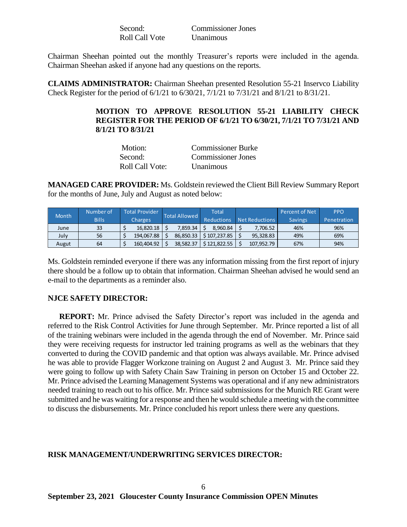| Second:        | <b>Commissioner Jones</b> |
|----------------|---------------------------|
| Roll Call Vote | Unanimous                 |

Chairman Sheehan pointed out the monthly Treasurer's reports were included in the agenda. Chairman Sheehan asked if anyone had any questions on the reports.

**CLAIMS ADMINISTRATOR:** Chairman Sheehan presented Resolution 55-21 Inservco Liability Check Register for the period of 6/1/21 to 6/30/21, 7/1/21 to 7/31/21 and 8/1/21 to 8/31/21.

### **MOTION TO APPROVE RESOLUTION 55-21 LIABILITY CHECK REGISTER FOR THE PERIOD OF 6/1/21 TO 6/30/21, 7/1/21 TO 7/31/21 AND 8/1/21 TO 8/31/21**

| Motion:         | <b>Commissioner Burke</b> |
|-----------------|---------------------------|
| Second:         | Commissioner Jones        |
| Roll Call Vote: | <b>Unanimous</b>          |

**MANAGED CARE PROVIDER:** Ms. Goldstein reviewed the Client Bill Review Summary Report for the months of June, July and August as noted below:

| <b>Month</b> | Number of    | Total Provider | <b>Total Allowed</b> |           | Total             |                | Percent of Net | <b>PPO</b>  |
|--------------|--------------|----------------|----------------------|-----------|-------------------|----------------|----------------|-------------|
|              | <b>Bills</b> | <b>Charges</b> |                      |           | <b>Reductions</b> | Net Reductions | <b>Savings</b> | Penetration |
| June         | 33           | 16.820.18      |                      | 7.859.34  | 8.960.84          | 7.706.52       | 46%            | 96%         |
| July         | 56           | 194.067.88     |                      | 86.850.33 | \$107.237.85      | 95.328.83      | 49%            | 69%         |
| Augut        | 64           | 160.404.92     |                      | 38,582.37 | \$121,822.55      | 107,952.79     | 67%            | 94%         |

Ms. Goldstein reminded everyone if there was any information missing from the first report of injury there should be a follow up to obtain that information. Chairman Sheehan advised he would send an e-mail to the departments as a reminder also.

#### **NJCE SAFETY DIRECTOR:**

 **REPORT:** Mr. Prince advised the Safety Director's report was included in the agenda and referred to the Risk Control Activities for June through September. Mr. Prince reported a list of all of the training webinars were included in the agenda through the end of November. Mr. Prince said they were receiving requests for instructor led training programs as well as the webinars that they converted to during the COVID pandemic and that option was always available. Mr. Prince advised he was able to provide Flagger Workzone training on August 2 and August 3. Mr. Prince said they were going to follow up with Safety Chain Saw Training in person on October 15 and October 22. Mr. Prince advised the Learning Management Systems was operational and if any new administrators needed training to reach out to his office. Mr. Prince said submissions for the Munich RE Grant were submitted and he was waiting for a response and then he would schedule a meeting with the committee to discuss the disbursements. Mr. Prince concluded his report unless there were any questions.

#### **RISK MANAGEMENT/UNDERWRITING SERVICES DIRECTOR:**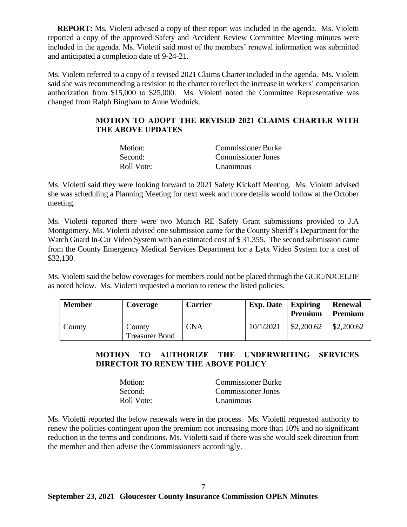**REPORT:** Ms. Violetti advised a copy of their report was included in the agenda. Ms. Violetti reported a copy of the approved Safety and Accident Review Committee Meeting minutes were included in the agenda. Ms. Violetti said most of the members' renewal information was submitted and anticipated a completion date of 9-24-21.

Ms. Violetti referred to a copy of a revised 2021 Claims Charter included in the agenda. Ms. Violetti said she was recommending a revision to the charter to reflect the increase in workers' compensation authorization from \$15,000 to \$25,000. Ms. Violetti noted the Committee Representative was changed from Ralph Bingham to Anne Wodnick.

# **MOTION TO ADOPT THE REVISED 2021 CLAIMS CHARTER WITH THE ABOVE UPDATES**

| Motion:    | <b>Commissioner Burke</b> |
|------------|---------------------------|
| Second:    | <b>Commissioner Jones</b> |
| Roll Vote: | <b>Unanimous</b>          |

Ms. Violetti said they were looking forward to 2021 Safety Kickoff Meeting. Ms. Violetti advised she was scheduling a Planning Meeting for next week and more details would follow at the October meeting.

Ms. Violetti reported there were two Munich RE Safety Grant submissions provided to J.A Montgomery. Ms. Violetti advised one submission came for the County Sheriff's Department for the Watch Guard In-Car Video System with an estimated cost of \$31,355. The second submission came from the County Emergency Medical Services Department for a Lytx Video System for a cost of \$32,130.

Ms. Violetti said the below coverages for members could not be placed through the GCIC/NJCELJIF as noted below. Ms. Violetti requested a motion to renew the listed policies.

| <b>Member</b> | <b>Coverage</b>                 | <b>Carrier</b> | <b>Exp. Date</b>   <b>Expiring</b> | <b>Premium</b> | <b>Renewal</b><br>Premium |
|---------------|---------------------------------|----------------|------------------------------------|----------------|---------------------------|
| County        | County<br><b>Treasurer Bond</b> | CNA            | 10/1/2021                          | \$2,200.62     | \$2,200.62                |

# **MOTION TO AUTHORIZE THE UNDERWRITING SERVICES DIRECTOR TO RENEW THE ABOVE POLICY**

| Motion:    | <b>Commissioner Burke</b> |
|------------|---------------------------|
| Second:    | Commissioner Jones        |
| Roll Vote: | <i>Unanimous</i>          |

Ms. Violetti reported the below renewals were in the process. Ms. Violetti requested authority to renew the policies contingent upon the premium not increasing more than 10% and no significant reduction in the terms and conditions. Ms. Violetti said if there was she would seek direction from the member and then advise the Commissioners accordingly.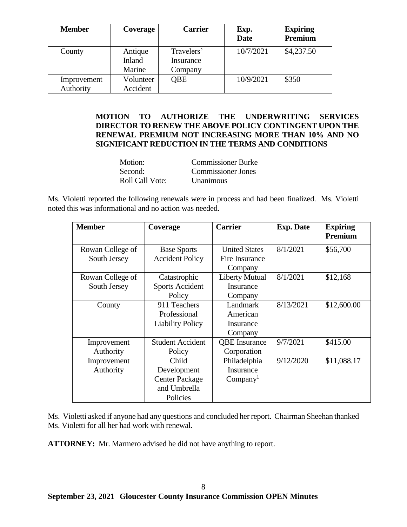| <b>Member</b> | Coverage  | <b>Carrier</b> | Exp.<br><b>Date</b> | <b>Expiring</b><br>Premium |
|---------------|-----------|----------------|---------------------|----------------------------|
| County        | Antique   | Travelers'     | 10/7/2021           | \$4,237.50                 |
|               | Inland    | Insurance      |                     |                            |
|               | Marine    | Company        |                     |                            |
| Improvement   | Volunteer | <b>OBE</b>     | 10/9/2021           | \$350                      |
| Authority     | Accident  |                |                     |                            |

# **MOTION TO AUTHORIZE THE UNDERWRITING SERVICES DIRECTOR TO RENEW THE ABOVE POLICY CONTINGENT UPON THE RENEWAL PREMIUM NOT INCREASING MORE THAN 10% AND NO SIGNIFICANT REDUCTION IN THE TERMS AND CONDITIONS**

| Motion:         | <b>Commissioner Burke</b> |
|-----------------|---------------------------|
| Second:         | Commissioner Jones        |
| Roll Call Vote: | <b>Unanimous</b>          |

Ms. Violetti reported the following renewals were in process and had been finalized. Ms. Violetti noted this was informational and no action was needed.

| <b>Member</b>    | Coverage                | <b>Carrier</b>            | <b>Exp. Date</b> | <b>Expiring</b><br>Premium |
|------------------|-------------------------|---------------------------|------------------|----------------------------|
| Rowan College of | <b>Base Sports</b>      | <b>United States</b>      | 8/1/2021         | \$56,700                   |
| South Jersey     | <b>Accident Policy</b>  | Fire Insurance<br>Company |                  |                            |
| Rowan College of | Catastrophic            | Liberty Mutual            | 8/1/2021         | \$12,168                   |
| South Jersey     | <b>Sports Accident</b>  | Insurance                 |                  |                            |
|                  | Policy                  | Company                   |                  |                            |
| County           | 911 Teachers            | Landmark                  | 8/13/2021        | \$12,600.00                |
|                  | Professional            | American                  |                  |                            |
|                  | <b>Liability Policy</b> | Insurance                 |                  |                            |
|                  |                         | Company                   |                  |                            |
| Improvement      | <b>Student Accident</b> | <b>QBE</b> Insurance      | 9/7/2021         | \$415.00                   |
| Authority        | Policy                  | Corporation               |                  |                            |
| Improvement      | Child                   | Philadelphia              | 9/12/2020        | \$11,088.17                |
| Authority        | Development             | Insurance                 |                  |                            |
|                  | <b>Center Package</b>   | Company <sup>1</sup>      |                  |                            |
|                  | and Umbrella            |                           |                  |                            |
|                  | Policies                |                           |                  |                            |

Ms. Violetti asked if anyone had any questions and concluded her report. Chairman Sheehan thanked Ms. Violetti for all her had work with renewal.

**ATTORNEY:** Mr. Marmero advised he did not have anything to report.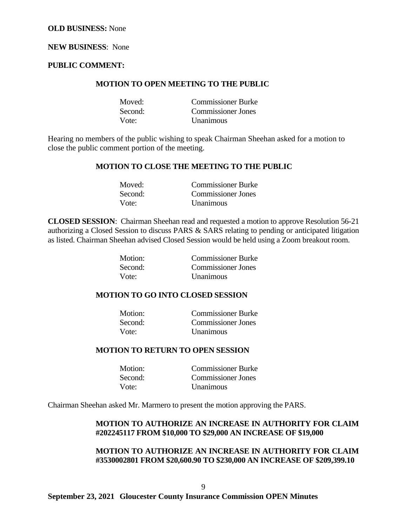#### **NEW BUSINESS**: None

#### **PUBLIC COMMENT:**

#### **MOTION TO OPEN MEETING TO THE PUBLIC**

| Moved:  | <b>Commissioner Burke</b> |
|---------|---------------------------|
| Second: | Commissioner Jones        |
| Vote:   | Unanimous                 |

Hearing no members of the public wishing to speak Chairman Sheehan asked for a motion to close the public comment portion of the meeting.

#### **MOTION TO CLOSE THE MEETING TO THE PUBLIC**

| Moved:  | <b>Commissioner Burke</b> |
|---------|---------------------------|
| Second: | <b>Commissioner Jones</b> |
| Vote:   | <b>Unanimous</b>          |

**CLOSED SESSION**: Chairman Sheehan read and requested a motion to approve Resolution 56-21 authorizing a Closed Session to discuss PARS & SARS relating to pending or anticipated litigation as listed. Chairman Sheehan advised Closed Session would be held using a Zoom breakout room.

| Motion: | <b>Commissioner Burke</b> |
|---------|---------------------------|
| Second: | <b>Commissioner Jones</b> |
| Vote:   | <b>Unanimous</b>          |

#### **MOTION TO GO INTO CLOSED SESSION**

| Motion: | <b>Commissioner Burke</b> |
|---------|---------------------------|
| Second: | <b>Commissioner Jones</b> |
| Vote:   | <b>Unanimous</b>          |

#### **MOTION TO RETURN TO OPEN SESSION**

| Motion: | <b>Commissioner Burke</b> |
|---------|---------------------------|
| Second: | <b>Commissioner Jones</b> |
| Vote:   | <b>Unanimous</b>          |

Chairman Sheehan asked Mr. Marmero to present the motion approving the PARS.

### **MOTION TO AUTHORIZE AN INCREASE IN AUTHORITY FOR CLAIM #202245117 FROM \$10,000 TO \$29,000 AN INCREASE OF \$19,000**

## **MOTION TO AUTHORIZE AN INCREASE IN AUTHORITY FOR CLAIM #3530002801 FROM \$20,600.90 TO \$230,000 AN INCREASE OF \$209,399.10**

**September 23, 2021 Gloucester County Insurance Commission OPEN Minutes**